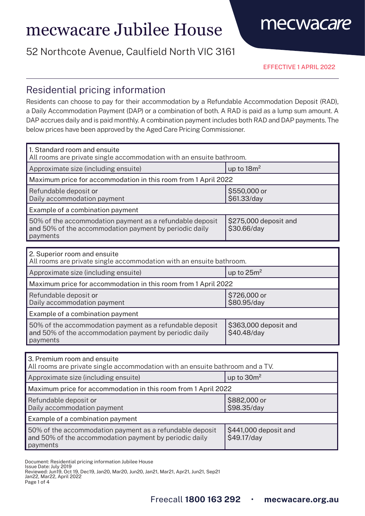# mecwacare Jubilee House

## 52 Northcote Avenue, Caulfield North VIC 3161

EFFECTIVE 1 APRIL 2022

mecwacare

### Residential pricing information

Residents can choose to pay for their accommodation by a Refundable Accommodation Deposit (RAD), a Daily Accommodation Payment (DAP) or a combination of both. A RAD is paid as a lump sum amount. A DAP accrues daily and is paid monthly. A combination payment includes both RAD and DAP payments. The below prices have been approved by the Aged Care Pricing Commissioner.

| 1. Standard room and ensuite<br>All rooms are private single accommodation with an ensuite bathroom.                           |                                      |  |
|--------------------------------------------------------------------------------------------------------------------------------|--------------------------------------|--|
| Approximate size (including ensuite)                                                                                           | up to $18m^2$                        |  |
| Maximum price for accommodation in this room from 1 April 2022                                                                 |                                      |  |
| Refundable deposit or<br>Daily accommodation payment                                                                           | \$550,000 or<br>\$61.33/day          |  |
| Example of a combination payment                                                                                               |                                      |  |
| 50% of the accommodation payment as a refundable deposit<br>and 50% of the accommodation payment by periodic daily<br>payments | \$275,000 deposit and<br>\$30.66/day |  |
|                                                                                                                                |                                      |  |
| 2. Superior room and ensuite<br>All rooms are private single accommodation with an ensuite bathroom.                           |                                      |  |
| Approximate size (including ensuite)                                                                                           | up to $25m^2$                        |  |
| Maximum price for accommodation in this room from 1 April 2022                                                                 |                                      |  |
| Refundable deposit or<br>Daily accommodation payment                                                                           | \$726,000 or<br>\$80.95/day          |  |
| Example of a combination payment                                                                                               |                                      |  |
| 50% of the accommodation payment as a refundable deposit<br>and 50% of the accommodation payment by periodic daily<br>payments | \$363,000 deposit and<br>\$40.48/day |  |
|                                                                                                                                |                                      |  |
| 3. Premium room and ensuite<br>All rooms are private single accommodation with an ensuite bathroom and a TV.                   |                                      |  |

| All rooms are private single accommodation with an ensuite bathroom and a TV.                                                  |                                      |  |
|--------------------------------------------------------------------------------------------------------------------------------|--------------------------------------|--|
| Approximate size (including ensuite)                                                                                           | up to $30m^2$                        |  |
| Maximum price for accommodation in this room from 1 April 2022                                                                 |                                      |  |
| Refundable deposit or<br>Daily accommodation payment                                                                           | \$882,000 or<br>\$98.35/day          |  |
| Example of a combination payment                                                                                               |                                      |  |
| 50% of the accommodation payment as a refundable deposit<br>and 50% of the accommodation payment by periodic daily<br>payments | \$441,000 deposit and<br>\$49.17/day |  |

Document: Residential pricing information Jubilee House

Issue Date: July 2019

Reviewed: Jun19, Oct 19, Dec19, Jan20, Mar20, Jun20, Jan21, Mar21, Apr21, Jun21, Sep21 Jan22, Mar22, April 2022

Page 1 of 4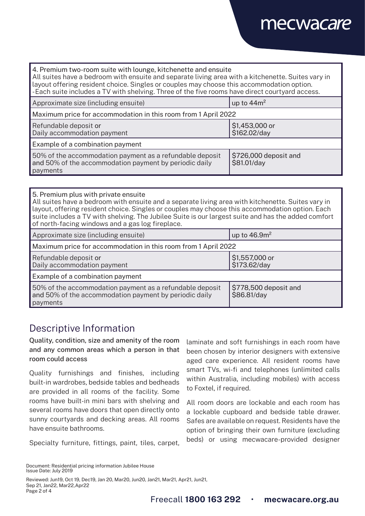## mecwacare

| 4. Premium two-room suite with lounge, kitchenette and ensuite<br>All suites have a bedroom with ensuite and separate living area with a kitchenette. Suites vary in<br>layout offering resident choice. Singles or couples may choose this accommodation option.<br>-Each suite includes a TV with shelving. Three of the five rooms have direct courtyard access. |                                      |  |
|---------------------------------------------------------------------------------------------------------------------------------------------------------------------------------------------------------------------------------------------------------------------------------------------------------------------------------------------------------------------|--------------------------------------|--|
| Approximate size (including ensuite)                                                                                                                                                                                                                                                                                                                                | up to $44m^2$                        |  |
| Maximum price for accommodation in this room from 1 April 2022                                                                                                                                                                                                                                                                                                      |                                      |  |
| Refundable deposit or<br>Daily accommodation payment                                                                                                                                                                                                                                                                                                                | \$1,453,000 or<br>\$162.02/day       |  |
| Example of a combination payment                                                                                                                                                                                                                                                                                                                                    |                                      |  |
| 50% of the accommodation payment as a refundable deposit<br>and 50% of the accommodation payment by periodic daily<br>payments                                                                                                                                                                                                                                      | \$726,000 deposit and<br>\$81.01/day |  |

#### 5. Premium plus with private ensuite All suites have a bedroom with ensuite and a separate living area with kitchenette. Suites vary in layout, offering resident choice. Singles or couples may choose this accommodation option. Each suite includes a TV with shelving. The Jubilee Suite is our largest suite and has the added comfort of north-facing windows and a gas log fireplace.

| Approximate size (including ensuite)                                                                                           | up to $46.9m2$                       |  |
|--------------------------------------------------------------------------------------------------------------------------------|--------------------------------------|--|
| Maximum price for accommodation in this room from 1 April 2022                                                                 |                                      |  |
| Refundable deposit or<br>Daily accommodation payment                                                                           | \$1,557,000 or<br>\$173.62/day       |  |
| Example of a combination payment                                                                                               |                                      |  |
| 50% of the accommodation payment as a refundable deposit<br>and 50% of the accommodation payment by periodic daily<br>payments | \$778,500 deposit and<br>\$86.81/day |  |

## Descriptive Information

Quality, condition, size and amenity of the room and any common areas which a person in that room could access

Quality furnishings and finishes, including built-in wardrobes, bedside tables and bedheads are provided in all rooms of the facility. Some rooms have built-in mini bars with shelving and several rooms have doors that open directly onto sunny courtyards and decking areas. All rooms have ensuite bathrooms.

Specialty furniture, fittings, paint, tiles, carpet,

laminate and soft furnishings in each room have been chosen by interior designers with extensive aged care experience. All resident rooms have smart TVs, wi-fi and telephones (unlimited calls within Australia, including mobiles) with access to Foxtel, if required.

All room doors are lockable and each room has a lockable cupboard and bedside table drawer. Safes are available on request. Residents have the option of bringing their own furniture (excluding beds) or using mecwacare-provided designer

Reviewed: Jun19, Oct 19, Dec19, Jan 20, Mar20, Jun20, Jan21, Mar21, Apr21, Jun21, Sep 21, Jan22, Mar22,Apr22 Page 2 of 4

Document: Residential pricing information Jubilee House Issue Date: July 2019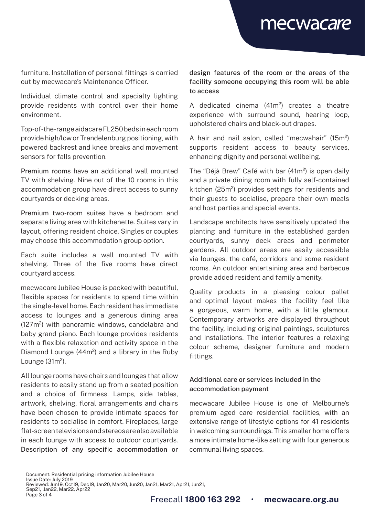mecwacare

furniture. Installation of personal fittings is carried out by mecwacare's Maintenance Officer.

Individual climate control and specialty lighting provide residents with control over their home environment.

Top-of-the-range aidacare FL250 beds in each room provide high/low or Trendelenburg positioning, with powered backrest and knee breaks and movement sensors for falls prevention.

Premium rooms have an additional wall mounted TV with shelving. Nine out of the 10 rooms in this accommodation group have direct access to sunny courtyards or decking areas.

Premium two-room suites have a bedroom and separate living area with kitchenette. Suites vary in layout, offering resident choice. Singles or couples may choose this accommodation group option.

Each suite includes a wall mounted TV with shelving. Three of the five rooms have direct courtyard access.

mecwacare Jubilee House is packed with beautiful, flexible spaces for residents to spend time within the single-level home. Each resident has immediate access to lounges and a generous dining area (127m²) with panoramic windows, candelabra and baby grand piano. Each lounge provides residents with a flexible relaxation and activity space in the Diamond Lounge (44m²) and a library in the Ruby Lounge (31m²).

All lounge rooms have chairs and lounges that allow residents to easily stand up from a seated position and a choice of firmness. Lamps, side tables, artwork, shelving, floral arrangements and chairs have been chosen to provide intimate spaces for residents to socialise in comfort. Fireplaces, large flat-screen televisions and stereos are also available in each lounge with access to outdoor courtyards. Description of any specific accommodation or design features of the room or the areas of the facility someone occupying this room will be able to access

A dedicated cinema (41m²) creates a theatre experience with surround sound, hearing loop, upholstered chairs and black-out drapes.

A hair and nail salon, called "mecwahair" (15m²) supports resident access to beauty services, enhancing dignity and personal wellbeing.

The "Déjà Brew" Café with bar (41m<sup>2</sup>) is open daily and a private dining room with fully self-contained kitchen (25m²) provides settings for residents and their guests to socialise, prepare their own meals and host parties and special events.

Landscape architects have sensitively updated the planting and furniture in the established garden courtyards, sunny deck areas and perimeter gardens. All outdoor areas are easily accessible via lounges, the café, corridors and some resident rooms. An outdoor entertaining area and barbecue provide added resident and family amenity.

Quality products in a pleasing colour pallet and optimal layout makes the facility feel like a gorgeous, warm home, with a little glamour. Contemporary artworks are displayed throughout the facility, including original paintings, sculptures and installations. The interior features a relaxing colour scheme, designer furniture and modern fittings.

### Additional care or services included in the accommodation payment

mecwacare Jubilee House is one of Melbourne's premium aged care residential facilities, with an extensive range of lifestyle options for 41 residents in welcoming surroundings. This smaller home offers a more intimate home-like setting with four generous communal living spaces.

Document: Residential pricing information Jubilee House Issue Date: July 2019 Reviewed: Jun19, Oct19, Dec19, Jan20, Mar20, Jun20, Jan21, Mar21, Apr21, Jun21, Sep21, Jan22, Mar22, Apr22 Page 3 of 4